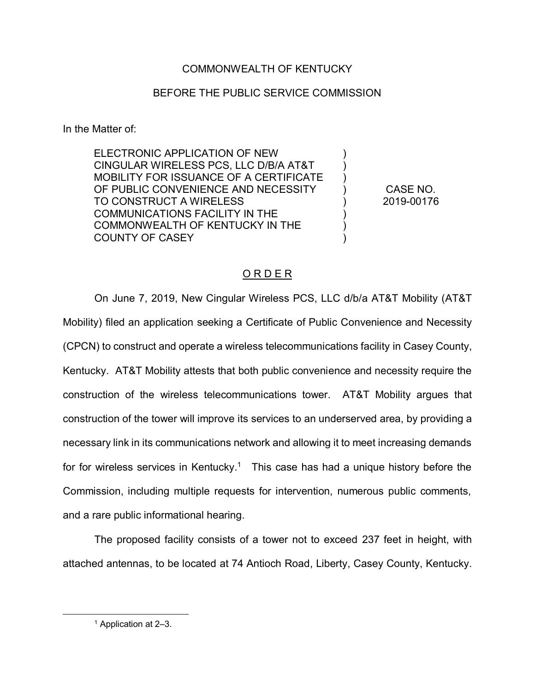## COMMONWEALTH OF KENTUCKY

## BEFORE THE PUBLIC SERVICE COMMISSION

In the Matter of:

ELECTRONIC APPLICATION OF NEW CINGULAR WIRELESS PCS, LLC D/B/A AT&T MOBILITY FOR ISSUANCE OF A CERTIFICATE OF PUBLIC CONVENIENCE AND NECESSITY TO CONSTRUCT A WIRELESS COMMUNICATIONS FACILITY IN THE COMMONWEALTH OF KENTUCKY IN THE COUNTY OF CASEY

CASE NO. 2019-00176

) ) ) ) ) ) ) )

## O R D E R

On June 7, 2019, New Cingular Wireless PCS, LLC d/b/a AT&T Mobility (AT&T Mobility) filed an application seeking a Certificate of Public Convenience and Necessity (CPCN) to construct and operate a wireless telecommunications facility in Casey County, Kentucky. AT&T Mobility attests that both public convenience and necessity require the construction of the wireless telecommunications tower. AT&T Mobility argues that construction of the tower will improve its services to an underserved area, by providing a necessary link in its communications network and allowing it to meet increasing demands for for wireless services in Kentucky.<sup>1</sup> This case has had a unique history before the Commission, including multiple requests for intervention, numerous public comments, and a rare public informational hearing.

The proposed facility consists of a tower not to exceed 237 feet in height, with attached antennas, to be located at 74 Antioch Road, Liberty, Casey County, Kentucky.

 <sup>1</sup> Application at 2–3.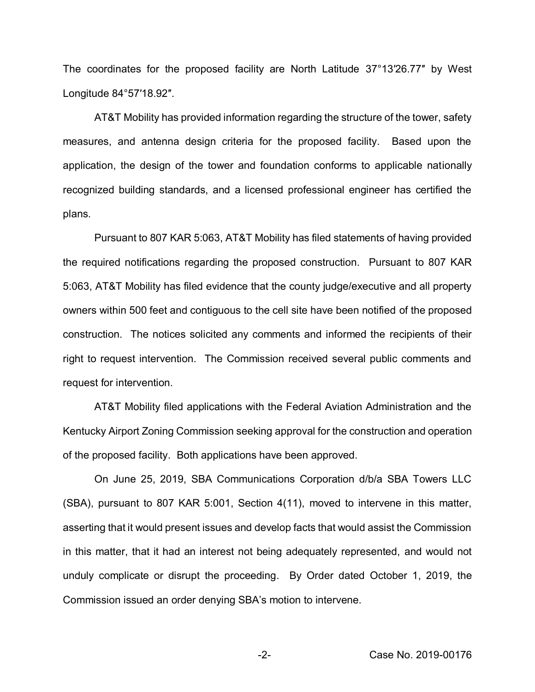The coordinates for the proposed facility are North Latitude 37°13′26.77″ by West Longitude 84°57′18.92″.

AT&T Mobility has provided information regarding the structure of the tower, safety measures, and antenna design criteria for the proposed facility. Based upon the application, the design of the tower and foundation conforms to applicable nationally recognized building standards, and a licensed professional engineer has certified the plans.

Pursuant to 807 KAR 5:063, AT&T Mobility has filed statements of having provided the required notifications regarding the proposed construction. Pursuant to 807 KAR 5:063, AT&T Mobility has filed evidence that the county judge/executive and all property owners within 500 feet and contiguous to the cell site have been notified of the proposed construction. The notices solicited any comments and informed the recipients of their right to request intervention. The Commission received several public comments and request for intervention.

AT&T Mobility filed applications with the Federal Aviation Administration and the Kentucky Airport Zoning Commission seeking approval for the construction and operation of the proposed facility. Both applications have been approved.

On June 25, 2019, SBA Communications Corporation d/b/a SBA Towers LLC (SBA), pursuant to 807 KAR 5:001, Section 4(11), moved to intervene in this matter, asserting that it would present issues and develop facts that would assist the Commission in this matter, that it had an interest not being adequately represented, and would not unduly complicate or disrupt the proceeding. By Order dated October 1, 2019, the Commission issued an order denying SBA's motion to intervene.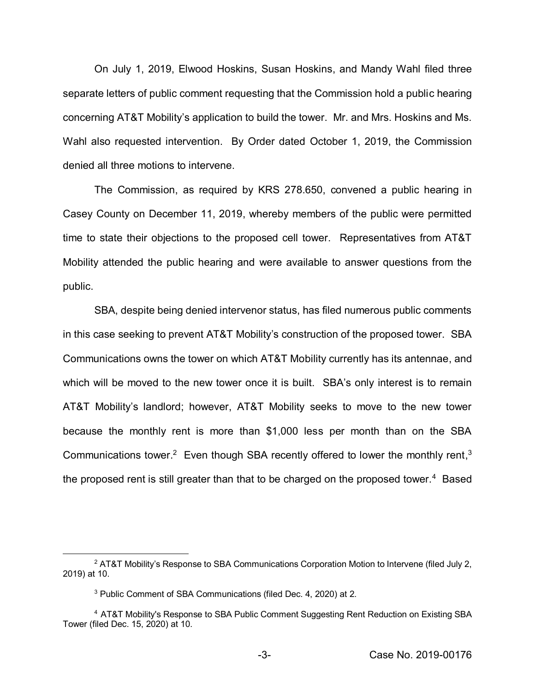On July 1, 2019, Elwood Hoskins, Susan Hoskins, and Mandy Wahl filed three separate letters of public comment requesting that the Commission hold a public hearing concerning AT&T Mobility's application to build the tower. Mr. and Mrs. Hoskins and Ms. Wahl also requested intervention. By Order dated October 1, 2019, the Commission denied all three motions to intervene.

The Commission, as required by KRS 278.650, convened a public hearing in Casey County on December 11, 2019, whereby members of the public were permitted time to state their objections to the proposed cell tower. Representatives from AT&T Mobility attended the public hearing and were available to answer questions from the public.

SBA, despite being denied intervenor status, has filed numerous public comments in this case seeking to prevent AT&T Mobility's construction of the proposed tower. SBA Communications owns the tower on which AT&T Mobility currently has its antennae, and which will be moved to the new tower once it is built. SBA's only interest is to remain AT&T Mobility's landlord; however, AT&T Mobility seeks to move to the new tower because the monthly rent is more than \$1,000 less per month than on the SBA Communications tower.<sup>2</sup> Even though SBA recently offered to lower the monthly rent,<sup>3</sup> the proposed rent is still greater than that to be charged on the proposed tower.<sup>4</sup> Based

<sup>&</sup>lt;sup>2</sup> AT&T Mobility's Response to SBA Communications Corporation Motion to Intervene (filed July 2, 2019) at 10.

<sup>3</sup> Public Comment of SBA Communications (filed Dec. 4, 2020) at 2.

<sup>4</sup> AT&T Mobility's Response to SBA Public Comment Suggesting Rent Reduction on Existing SBA Tower (filed Dec. 15, 2020) at 10.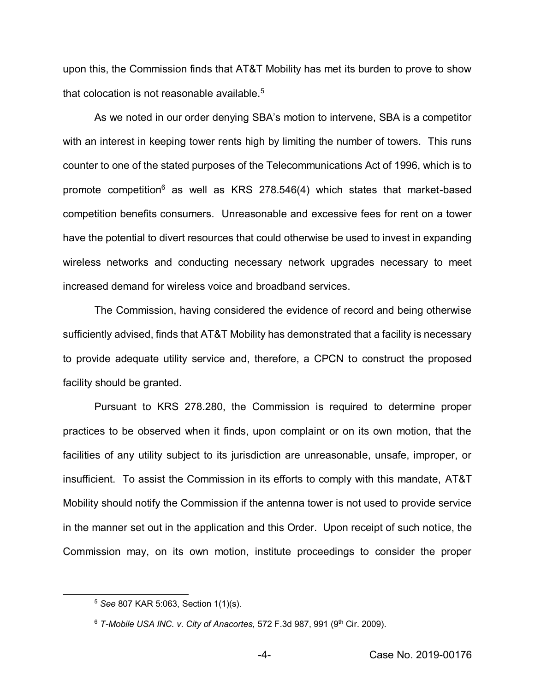upon this, the Commission finds that AT&T Mobility has met its burden to prove to show that colocation is not reasonable available.<sup>5</sup>

As we noted in our order denying SBA's motion to intervene, SBA is a competitor with an interest in keeping tower rents high by limiting the number of towers. This runs counter to one of the stated purposes of the Telecommunications Act of 1996, which is to promote competition<sup>6</sup> as well as KRS 278.546(4) which states that market-based competition benefits consumers. Unreasonable and excessive fees for rent on a tower have the potential to divert resources that could otherwise be used to invest in expanding wireless networks and conducting necessary network upgrades necessary to meet increased demand for wireless voice and broadband services.

The Commission, having considered the evidence of record and being otherwise sufficiently advised, finds that AT&T Mobility has demonstrated that a facility is necessary to provide adequate utility service and, therefore, a CPCN to construct the proposed facility should be granted.

Pursuant to KRS 278.280, the Commission is required to determine proper practices to be observed when it finds, upon complaint or on its own motion, that the facilities of any utility subject to its jurisdiction are unreasonable, unsafe, improper, or insufficient. To assist the Commission in its efforts to comply with this mandate, AT&T Mobility should notify the Commission if the antenna tower is not used to provide service in the manner set out in the application and this Order. Upon receipt of such notice, the Commission may, on its own motion, institute proceedings to consider the proper

 <sup>5</sup> *See* 807 KAR 5:063, Section 1(1)(s).

<sup>6</sup> *T-Mobile USA INC. v. City of Anacortes*, 572 F.3d 987, 991 (9th Cir. 2009).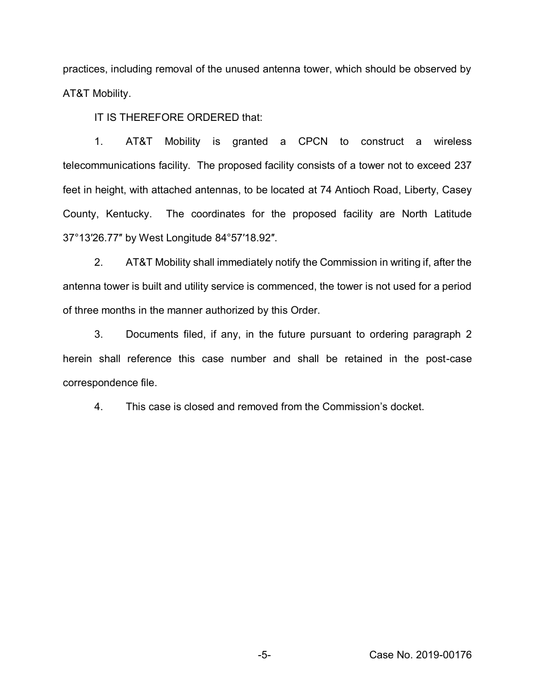practices, including removal of the unused antenna tower, which should be observed by AT&T Mobility.

IT IS THEREFORE ORDERED that:

1. AT&T Mobility is granted a CPCN to construct a wireless telecommunications facility. The proposed facility consists of a tower not to exceed 237 feet in height, with attached antennas, to be located at 74 Antioch Road, Liberty, Casey County, Kentucky. The coordinates for the proposed facility are North Latitude 37°13′26.77″ by West Longitude 84°57′18.92″.

2. AT&T Mobility shall immediately notify the Commission in writing if, after the antenna tower is built and utility service is commenced, the tower is not used for a period of three months in the manner authorized by this Order.

3. Documents filed, if any, in the future pursuant to ordering paragraph 2 herein shall reference this case number and shall be retained in the post-case correspondence file.

4. This case is closed and removed from the Commission's docket.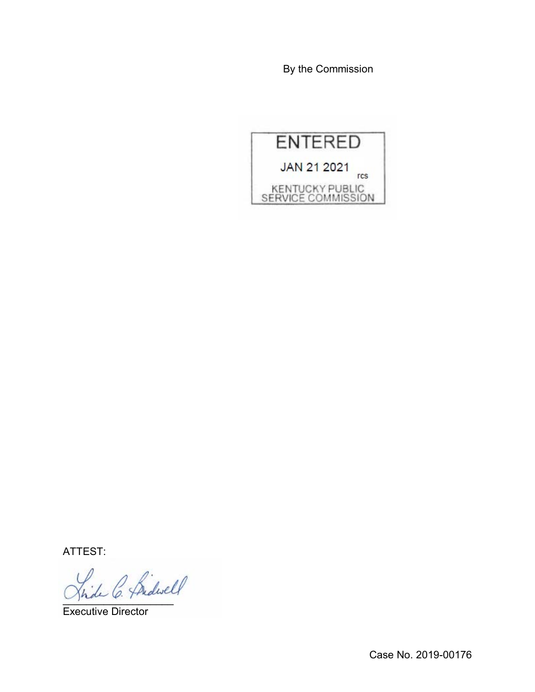By the Commission



ATTEST:

fride C. Pridwell

Executive Director

Case No. 2019-00176